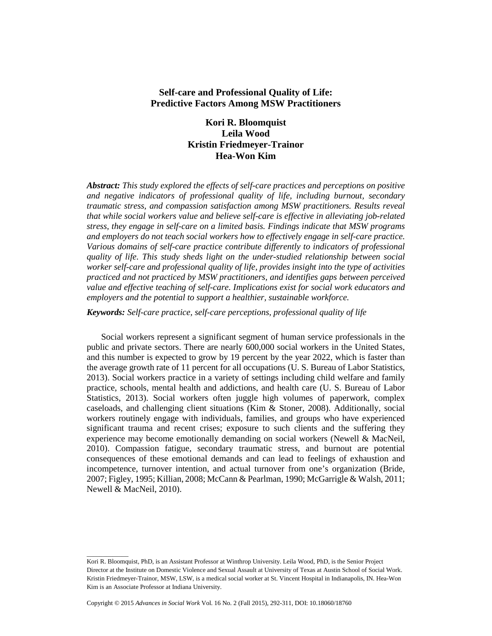# **Self-care and Professional Quality of Life: Predictive Factors Among MSW Practitioners**

# **Kori R. Bloomquist Leila Wood Kristin Friedmeyer-Trainor Hea-Won Kim**

*Abstract: This study explored the effects of self-care practices and perceptions on positive and negative indicators of professional quality of life, including burnout, secondary traumatic stress, and compassion satisfaction among MSW practitioners. Results reveal that while social workers value and believe self-care is effective in alleviating job-related stress, they engage in self-care on a limited basis. Findings indicate that MSW programs and employers do not teach social workers how to effectively engage in self-care practice. Various domains of self-care practice contribute differently to indicators of professional quality of life. This study sheds light on the under-studied relationship between social worker self-care and professional quality of life, provides insight into the type of activities practiced and not practiced by MSW practitioners, and identifies gaps between perceived value and effective teaching of self-care. Implications exist for social work educators and employers and the potential to support a healthier, sustainable workforce.*

*Keywords: Self-care practice, self-care perceptions, professional quality of life*

Social workers represent a significant segment of human service professionals in the public and private sectors. There are nearly 600,000 social workers in the United States, and this number is expected to grow by 19 percent by the year 2022, which is faster than the average growth rate of 11 percent for all occupations (U. S. Bureau of Labor Statistics, 2013). Social workers practice in a variety of settings including child welfare and family practice, schools, mental health and addictions, and health care (U. S. Bureau of Labor Statistics, 2013). Social workers often juggle high volumes of paperwork, complex caseloads, and challenging client situations (Kim & Stoner, 2008). Additionally, social workers routinely engage with individuals, families, and groups who have experienced significant trauma and recent crises; exposure to such clients and the suffering they experience may become emotionally demanding on social workers (Newell & MacNeil, 2010). Compassion fatigue, secondary traumatic stress, and burnout are potential consequences of these emotional demands and can lead to feelings of exhaustion and incompetence, turnover intention, and actual turnover from one's organization (Bride, 2007; Figley, 1995; Killian, 2008; McCann & Pearlman, 1990; McGarrigle & Walsh, 2011; Newell & MacNeil, 2010).

\_\_\_\_\_\_\_\_\_\_\_\_\_

Kori R. Bloomquist, PhD, is an Assistant Professor at Winthrop University. Leila Wood, PhD, is the Senior Project Director at the Institute on Domestic Violence and Sexual Assault at University of Texas at Austin School of Social Work. Kristin Friedmeyer-Trainor, MSW, LSW, is a medical social worker at St. Vincent Hospital in Indianapolis, IN. Hea-Won Kim is an Associate Professor at Indiana University.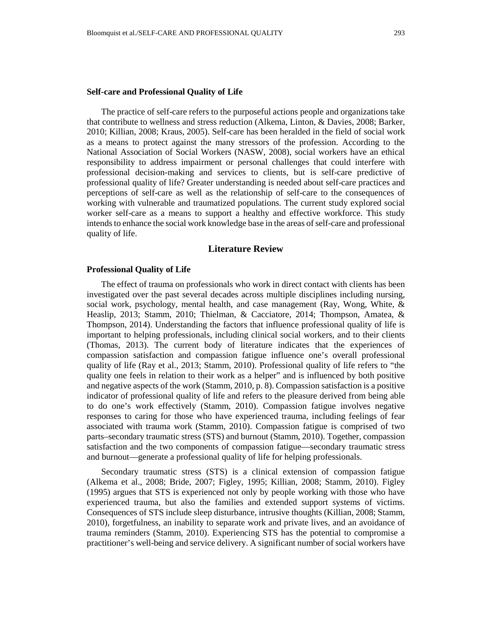#### **Self-care and Professional Quality of Life**

The practice of self-care refers to the purposeful actions people and organizations take that contribute to wellness and stress reduction (Alkema, Linton, & Davies, 2008; Barker, 2010; Killian, 2008; Kraus, 2005). Self-care has been heralded in the field of social work as a means to protect against the many stressors of the profession. According to the National Association of Social Workers (NASW, 2008), social workers have an ethical responsibility to address impairment or personal challenges that could interfere with professional decision-making and services to clients, but is self-care predictive of professional quality of life? Greater understanding is needed about self-care practices and perceptions of self-care as well as the relationship of self-care to the consequences of working with vulnerable and traumatized populations. The current study explored social worker self-care as a means to support a healthy and effective workforce. This study intends to enhance the social work knowledge base in the areas of self-care and professional quality of life.

# **Literature Review**

### **Professional Quality of Life**

The effect of trauma on professionals who work in direct contact with clients has been investigated over the past several decades across multiple disciplines including nursing, social work, psychology, mental health, and case management (Ray, Wong, White,  $\&$ Heaslip, 2013; Stamm, 2010; Thielman, & Cacciatore, 2014; Thompson, Amatea, & Thompson, 2014). Understanding the factors that influence professional quality of life is important to helping professionals, including clinical social workers, and to their clients (Thomas, 2013). The current body of literature indicates that the experiences of compassion satisfaction and compassion fatigue influence one's overall professional quality of life (Ray et al., 2013; Stamm, 2010). Professional quality of life refers to "the quality one feels in relation to their work as a helper" and is influenced by both positive and negative aspects of the work (Stamm, 2010, p. 8). Compassion satisfaction is a positive indicator of professional quality of life and refers to the pleasure derived from being able to do one's work effectively (Stamm, 2010). Compassion fatigue involves negative responses to caring for those who have experienced trauma, including feelings of fear associated with trauma work (Stamm, 2010). Compassion fatigue is comprised of two parts–secondary traumatic stress (STS) and burnout (Stamm, 2010). Together, compassion satisfaction and the two components of compassion fatigue—secondary traumatic stress and burnout—generate a professional quality of life for helping professionals.

Secondary traumatic stress (STS) is a clinical extension of compassion fatigue (Alkema et al., 2008; Bride, 2007; Figley, 1995; Killian, 2008; Stamm, 2010). Figley (1995) argues that STS is experienced not only by people working with those who have experienced trauma, but also the families and extended support systems of victims. Consequences of STS include sleep disturbance, intrusive thoughts (Killian, 2008; Stamm, 2010), forgetfulness, an inability to separate work and private lives, and an avoidance of trauma reminders (Stamm, 2010). Experiencing STS has the potential to compromise a practitioner's well-being and service delivery. A significant number of social workers have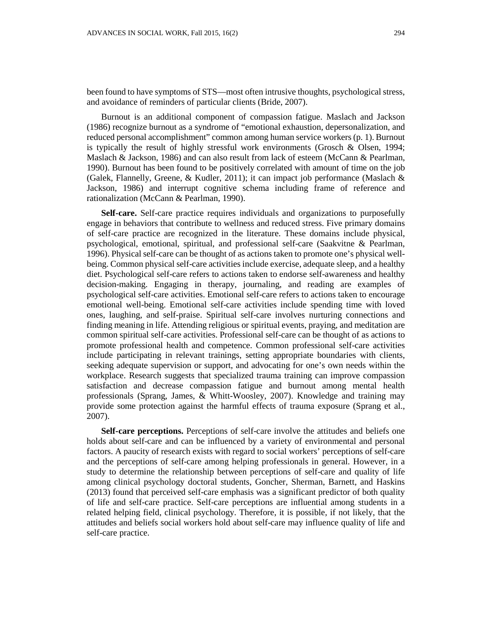been found to have symptoms of STS—most often intrusive thoughts, psychological stress, and avoidance of reminders of particular clients (Bride, 2007).

Burnout is an additional component of compassion fatigue. Maslach and Jackson (1986) recognize burnout as a syndrome of "emotional exhaustion, depersonalization, and reduced personal accomplishment" common among human service workers (p. 1). Burnout is typically the result of highly stressful work environments (Grosch & Olsen, 1994; Maslach & Jackson, 1986) and can also result from lack of esteem (McCann & Pearlman, 1990). Burnout has been found to be positively correlated with amount of time on the job (Galek, Flannelly, Greene, & Kudler, 2011); it can impact job performance (Maslach  $\&$ Jackson, 1986) and interrupt cognitive schema including frame of reference and rationalization (McCann & Pearlman, 1990).

**Self-care.** Self-care practice requires individuals and organizations to purposefully engage in behaviors that contribute to wellness and reduced stress. Five primary domains of self-care practice are recognized in the literature. These domains include physical, psychological, emotional, spiritual, and professional self-care (Saakvitne & Pearlman, 1996). Physical self-care can be thought of as actions taken to promote one's physical wellbeing. Common physical self-care activities include exercise, adequate sleep, and a healthy diet. Psychological self-care refers to actions taken to endorse self-awareness and healthy decision-making. Engaging in therapy, journaling, and reading are examples of psychological self-care activities. Emotional self-care refers to actions taken to encourage emotional well-being. Emotional self-care activities include spending time with loved ones, laughing, and self-praise. Spiritual self-care involves nurturing connections and finding meaning in life. Attending religious or spiritual events, praying, and meditation are common spiritual self-care activities. Professional self-care can be thought of as actions to promote professional health and competence. Common professional self-care activities include participating in relevant trainings, setting appropriate boundaries with clients, seeking adequate supervision or support, and advocating for one's own needs within the workplace. Research suggests that specialized trauma training can improve compassion satisfaction and decrease compassion fatigue and burnout among mental health professionals (Sprang, James, & Whitt-Woosley, 2007). Knowledge and training may provide some protection against the harmful effects of trauma exposure (Sprang et al., 2007).

**Self-care perceptions.** Perceptions of self-care involve the attitudes and beliefs one holds about self-care and can be influenced by a variety of environmental and personal factors. A paucity of research exists with regard to social workers' perceptions of self-care and the perceptions of self-care among helping professionals in general. However, in a study to determine the relationship between perceptions of self-care and quality of life among clinical psychology doctoral students, Goncher, Sherman, Barnett, and Haskins (2013) found that perceived self-care emphasis was a significant predictor of both quality of life and self-care practice. Self-care perceptions are influential among students in a related helping field, clinical psychology. Therefore, it is possible, if not likely, that the attitudes and beliefs social workers hold about self-care may influence quality of life and self-care practice.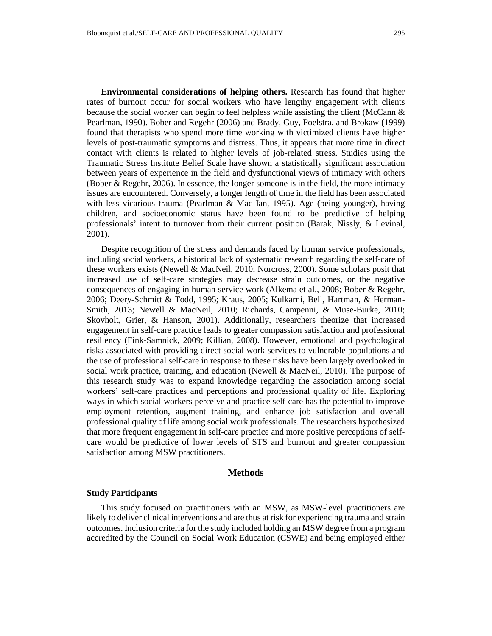**Environmental considerations of helping others.** Research has found that higher rates of burnout occur for social workers who have lengthy engagement with clients because the social worker can begin to feel helpless while assisting the client (McCann & Pearlman, 1990). Bober and Regehr (2006) and Brady, Guy, Poelstra, and Brokaw (1999) found that therapists who spend more time working with victimized clients have higher levels of post-traumatic symptoms and distress. Thus, it appears that more time in direct contact with clients is related to higher levels of job-related stress. Studies using the Traumatic Stress Institute Belief Scale have shown a statistically significant association between years of experience in the field and dysfunctional views of intimacy with others (Bober & Regehr, 2006). In essence, the longer someone is in the field, the more intimacy issues are encountered. Conversely, a longer length of time in the field has been associated with less vicarious trauma (Pearlman & Mac Ian, 1995). Age (being younger), having children, and socioeconomic status have been found to be predictive of helping professionals' intent to turnover from their current position (Barak, Nissly, & Levinal, 2001).

Despite recognition of the stress and demands faced by human service professionals, including social workers, a historical lack of systematic research regarding the self-care of these workers exists (Newell & MacNeil, 2010; Norcross, 2000). Some scholars posit that increased use of self-care strategies may decrease strain outcomes, or the negative consequences of engaging in human service work (Alkema et al., 2008; Bober & Regehr, 2006; Deery-Schmitt & Todd, 1995; Kraus, 2005; Kulkarni, Bell, Hartman, & Herman-Smith, 2013; Newell & MacNeil, 2010; Richards, Campenni, & Muse-Burke, 2010; Skovholt, Grier, & Hanson, 2001). Additionally, researchers theorize that increased engagement in self-care practice leads to greater compassion satisfaction and professional resiliency (Fink-Samnick, 2009; Killian, 2008). However, emotional and psychological risks associated with providing direct social work services to vulnerable populations and the use of professional self-care in response to these risks have been largely overlooked in social work practice, training, and education (Newell & MacNeil, 2010). The purpose of this research study was to expand knowledge regarding the association among social workers' self-care practices and perceptions and professional quality of life. Exploring ways in which social workers perceive and practice self-care has the potential to improve employment retention, augment training, and enhance job satisfaction and overall professional quality of life among social work professionals. The researchers hypothesized that more frequent engagement in self-care practice and more positive perceptions of selfcare would be predictive of lower levels of STS and burnout and greater compassion satisfaction among MSW practitioners.

#### **Methods**

### **Study Participants**

This study focused on practitioners with an MSW, as MSW-level practitioners are likely to deliver clinical interventions and are thus at risk for experiencing trauma and strain outcomes. Inclusion criteria for the study included holding an MSW degree from a program accredited by the Council on Social Work Education (CSWE) and being employed either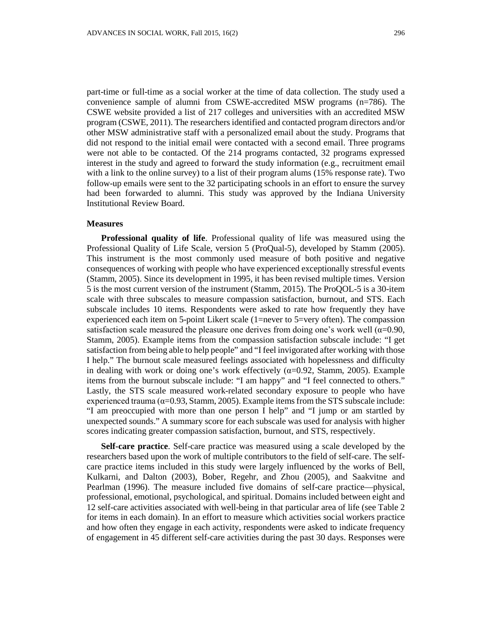part-time or full-time as a social worker at the time of data collection. The study used a convenience sample of alumni from CSWE-accredited MSW programs (n=786). The CSWE website provided a list of 217 colleges and universities with an accredited MSW program (CSWE, 2011). The researchers identified and contacted program directors and/or other MSW administrative staff with a personalized email about the study. Programs that did not respond to the initial email were contacted with a second email. Three programs were not able to be contacted. Of the 214 programs contacted, 32 programs expressed interest in the study and agreed to forward the study information (e.g., recruitment email with a link to the online survey) to a list of their program alums (15% response rate). Two follow-up emails were sent to the 32 participating schools in an effort to ensure the survey had been forwarded to alumni. This study was approved by the Indiana University Institutional Review Board.

#### **Measures**

**Professional quality of life**. Professional quality of life was measured using the Professional Quality of Life Scale, version 5 (ProQual-5), developed by Stamm (2005). This instrument is the most commonly used measure of both positive and negative consequences of working with people who have experienced exceptionally stressful events (Stamm, 2005). Since its development in 1995, it has been revised multiple times. Version 5 is the most current version of the instrument (Stamm, 2015). The ProQOL-5 is a 30-item scale with three subscales to measure compassion satisfaction, burnout, and STS. Each subscale includes 10 items. Respondents were asked to rate how frequently they have experienced each item on 5-point Likert scale (1=never to 5=very often). The compassion satisfaction scale measured the pleasure one derives from doing one's work well ( $\alpha$ =0.90, Stamm, 2005). Example items from the compassion satisfaction subscale include: "I get satisfaction from being able to help people" and "I feel invigorated after working with those I help." The burnout scale measured feelings associated with hopelessness and difficulty in dealing with work or doing one's work effectively ( $\alpha$ =0.92, Stamm, 2005). Example items from the burnout subscale include: "I am happy" and "I feel connected to others." Lastly, the STS scale measured work-related secondary exposure to people who have experienced trauma ( $\alpha$ =0.93, Stamm, 2005). Example items from the STS subscale include: "I am preoccupied with more than one person I help" and "I jump or am startled by unexpected sounds." A summary score for each subscale was used for analysis with higher scores indicating greater compassion satisfaction, burnout, and STS, respectively.

**Self-care practice**. Self-care practice was measured using a scale developed by the researchers based upon the work of multiple contributors to the field of self-care. The selfcare practice items included in this study were largely influenced by the works of Bell, Kulkarni, and Dalton (2003), Bober, Regehr, and Zhou (2005), and Saakvitne and Pearlman (1996). The measure included five domains of self-care practice—physical, professional, emotional, psychological, and spiritual. Domains included between eight and 12 self-care activities associated with well-being in that particular area of life (see Table 2 for items in each domain). In an effort to measure which activities social workers practice and how often they engage in each activity, respondents were asked to indicate frequency of engagement in 45 different self-care activities during the past 30 days. Responses were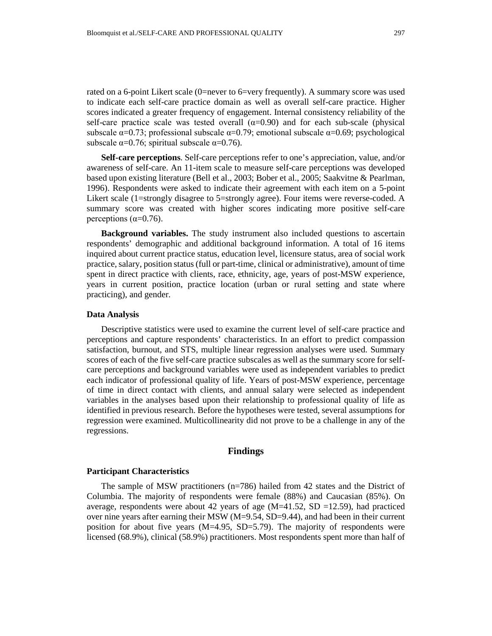rated on a 6-point Likert scale (0=never to 6=very frequently). A summary score was used to indicate each self-care practice domain as well as overall self-care practice. Higher scores indicated a greater frequency of engagement. Internal consistency reliability of the self-care practice scale was tested overall  $(\alpha=0.90)$  and for each sub-scale (physical subscale  $\alpha$ =0.73; professional subscale  $\alpha$ =0.79; emotional subscale  $\alpha$ =0.69; psychological subscale  $\alpha$ =0.76; spiritual subscale  $\alpha$ =0.76).

**Self-care perceptions**. Self-care perceptions refer to one's appreciation, value, and/or awareness of self-care. An 11-item scale to measure self-care perceptions was developed based upon existing literature (Bell et al., 2003; Bober et al., 2005; Saakvitne & Pearlman, 1996). Respondents were asked to indicate their agreement with each item on a 5-point Likert scale (1=strongly disagree to 5=strongly agree). Four items were reverse-coded. A summary score was created with higher scores indicating more positive self-care perceptions ( $\alpha$ =0.76).

**Background variables.** The study instrument also included questions to ascertain respondents' demographic and additional background information. A total of 16 items inquired about current practice status, education level, licensure status, area of social work practice, salary, position status (full or part-time, clinical or administrative), amount of time spent in direct practice with clients, race, ethnicity, age, years of post-MSW experience, years in current position, practice location (urban or rural setting and state where practicing), and gender.

#### **Data Analysis**

Descriptive statistics were used to examine the current level of self-care practice and perceptions and capture respondents' characteristics. In an effort to predict compassion satisfaction, burnout, and STS, multiple linear regression analyses were used. Summary scores of each of the five self-care practice subscales as well as the summary score for selfcare perceptions and background variables were used as independent variables to predict each indicator of professional quality of life. Years of post-MSW experience, percentage of time in direct contact with clients, and annual salary were selected as independent variables in the analyses based upon their relationship to professional quality of life as identified in previous research. Before the hypotheses were tested, several assumptions for regression were examined. Multicollinearity did not prove to be a challenge in any of the regressions.

#### **Findings**

#### **Participant Characteristics**

The sample of MSW practitioners (n=786) hailed from 42 states and the District of Columbia. The majority of respondents were female (88%) and Caucasian (85%). On average, respondents were about 42 years of age  $(M=41.52, SD = 12.59)$ , had practiced over nine years after earning their MSW (M=9.54, SD=9.44), and had been in their current position for about five years  $(M=4.95, SD=5.79)$ . The majority of respondents were licensed (68.9%), clinical (58.9%) practitioners. Most respondents spent more than half of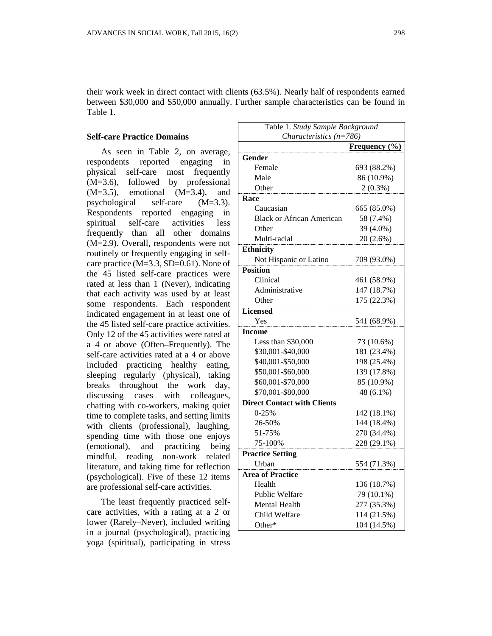their work week in direct contact with clients (63.5%). Nearly half of respondents earned between \$30,000 and \$50,000 annually. Further sample characteristics can be found in Table 1.

### **Self-care Practice Domains**

As seen in Table 2, on average, respondents reported engaging in physical self-care most frequently (M=3.6), followed by professional  $(M=3.5)$ , emotional  $(M=3.4)$ , and psychological self-care (M=3.3). Respondents reported engaging in spiritual self-care activities less frequently than all other domains (M=2.9). Overall, respondents were not routinely or frequently engaging in selfcare practice (M=3.3, SD=0.61). None of the 45 listed self-care practices were rated at less than 1 (Never), indicating that each activity was used by at least some respondents. Each respondent indicated engagement in at least one of the 45 listed self-care practice activities. Only 12 of the 45 activities were rated at a 4 or above (Often–Frequently). The self-care activities rated at a 4 or above included practicing healthy eating, sleeping regularly (physical), taking breaks throughout the work day, discussing cases with colleagues, chatting with co-workers, making quiet time to complete tasks, and setting limits with clients (professional), laughing, spending time with those one enjoys (emotional), and practicing being mindful, reading non-work related literature, and taking time for reflection (psychological). Five of these 12 items are professional self-care activities.

The least frequently practiced selfcare activities, with a rating at a 2 or lower (Rarely–Never), included writing in a journal (psychological), practicing yoga (spiritual), participating in stress

| Table 1. Study Sample Background   |                      |  |  |
|------------------------------------|----------------------|--|--|
| Characteristics $(n=786)$          |                      |  |  |
|                                    | <b>Frequency</b> (%) |  |  |
| Gender                             |                      |  |  |
| Female                             | 693 (88.2%)          |  |  |
| Male                               | 86 (10.9%)           |  |  |
| Other                              | $2(0.3\%)$           |  |  |
| Race                               |                      |  |  |
| Caucasian                          | 665 (85.0%)          |  |  |
| <b>Black or African American</b>   | 58 (7.4%)            |  |  |
| Other                              | 39 (4.0%)            |  |  |
| Multi-racial                       | 20 (2.6%)            |  |  |
| <b>Ethnicity</b>                   |                      |  |  |
| Not Hispanic or Latino             | 709 (93.0%)          |  |  |
| <b>Position</b>                    |                      |  |  |
| Clinical                           | 461 (58.9%)          |  |  |
| Administrative                     | 147 (18.7%)          |  |  |
| Other                              | 175 (22.3%)          |  |  |
| <b>Licensed</b>                    |                      |  |  |
| Yes                                | 541 (68.9%)          |  |  |
| <b>Income</b>                      |                      |  |  |
| Less than \$30,000                 | 73 (10.6%)           |  |  |
| \$30,001-\$40,000                  | 181 (23.4%)          |  |  |
| \$40,001-\$50,000                  | 198 (25.4%)          |  |  |
| \$50,001-\$60,000                  | 139 (17.8%)          |  |  |
| \$60,001-\$70,000                  | 85 (10.9%)           |  |  |
| \$70,001-\$80,000                  | 48 (6.1%)            |  |  |
| <b>Direct Contact with Clients</b> |                      |  |  |
| $0-25%$                            | 142 (18.1%)          |  |  |
| 26-50%                             | 144 (18.4%)          |  |  |
| 51-75%                             | 270 (34.4%)          |  |  |
| 75-100%                            | 228 (29.1%)          |  |  |
| <b>Practice Setting</b>            |                      |  |  |
| Urban                              | 554 (71.3%)          |  |  |
| <b>Area of Practice</b>            |                      |  |  |
| Health                             | 136 (18.7%)          |  |  |
| <b>Public Welfare</b>              | 79 (10.1%)           |  |  |
| <b>Mental Health</b>               | 277 (35.3%)          |  |  |
| Child Welfare                      | 114 (21.5%)          |  |  |
| Other*                             | 104 (14.5%)          |  |  |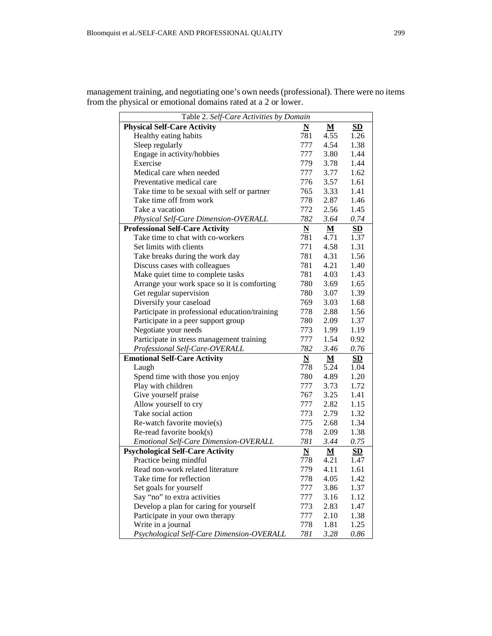| Table 2. Self-Care Activities by Domain        |                          |                          |           |
|------------------------------------------------|--------------------------|--------------------------|-----------|
| <b>Physical Self-Care Activity</b>             | $\underline{\mathbf{N}}$ | M                        | SD        |
| Healthy eating habits                          | 781                      | 4.55                     | 1.26      |
| Sleep regularly                                | 777                      | 4.54                     | 1.38      |
| Engage in activity/hobbies                     | 777                      | 3.80                     | 1.44      |
| Exercise                                       | 779                      | 3.78                     | 1.44      |
| Medical care when needed                       | 777                      | 3.77                     | 1.62      |
| Preventative medical care                      | 776                      | 3.57                     | 1.61      |
| Take time to be sexual with self or partner    | 765                      | 3.33                     | 1.41      |
| Take time off from work                        | 778                      | 2.87                     | 1.46      |
| Take a vacation                                | 772                      | 2.56                     | 1.45      |
| Physical Self-Care Dimension-OVERALL           | 782                      | 3.64                     | 0.74      |
| <b>Professional Self-Care Activity</b>         | N                        | M                        | SD        |
| Take time to chat with co-workers              | 781                      | 4.71                     | 1.37      |
| Set limits with clients                        | 771                      | 4.58                     | 1.31      |
| Take breaks during the work day                | 781                      | 4.31                     | 1.56      |
| Discuss cases with colleagues                  | 781                      | 4.21                     | 1.40      |
| Make quiet time to complete tasks              | 781                      | 4.03                     | 1.43      |
| Arrange your work space so it is comforting    | 780                      | 3.69                     | 1.65      |
| Get regular supervision                        | 780                      | 3.07                     | 1.39      |
| Diversify your caseload                        | 769                      | 3.03                     | 1.68      |
| Participate in professional education/training | 778                      | 2.88                     | 1.56      |
| Participate in a peer support group            | 780                      | 2.09                     | 1.37      |
| Negotiate your needs                           | 773                      | 1.99                     | 1.19      |
| Participate in stress management training      | 777                      | 1.54                     | 0.92      |
| Professional Self-Care-OVERALL                 | 782                      | 3.46                     | 0.76      |
| <b>Emotional Self-Care Activity</b>            | $\underline{\mathbf{N}}$ | ${\bf M}$                | SD        |
| Laugh                                          | 778                      | 5.24                     | 1.04      |
| Spend time with those you enjoy                | 780                      | 4.89                     | 1.20      |
| Play with children                             | 777                      | 3.73                     | 1.72      |
| Give yourself praise                           | 767                      | 3.25                     | 1.41      |
| Allow yourself to cry                          | 777                      | 2.82                     | 1.15      |
| Take social action                             | 773                      | 2.79                     | 1.32      |
| Re-watch favorite movie(s)                     | 775                      | 2.68                     | 1.34      |
| Re-read favorite book(s)                       | 778                      | 2.09                     | 1.38      |
| Emotional Self-Care Dimension-OVERALL          | 781                      | 3.44                     | 0.75      |
| <b>Psychological Self-Care Activity</b>        | N                        | $\underline{\mathbf{M}}$ | <b>SD</b> |
| Practice being mindful                         | 778                      | 4.21                     | 1.47      |
| Read non-work related literature               | 779                      | 4.11                     | 1.61      |
| Take time for reflection                       | 778                      | 4.05                     | 1.42      |
| Set goals for yourself                         | 777                      | 3.86                     | 1.37      |
| Say "no" to extra activities                   | 777                      | 3.16                     | 1.12      |
| Develop a plan for caring for yourself         | 773                      | 2.83                     | 1.47      |
| Participate in your own therapy                | 777                      | 2.10                     | 1.38      |
| Write in a journal                             | 778                      | 1.81                     | 1.25      |
| Psychological Self-Care Dimension-OVERALL      | 781                      | 3.28                     | 0.86      |

management training, and negotiating one's own needs (professional). There were no items from the physical or emotional domains rated at a 2 or lower.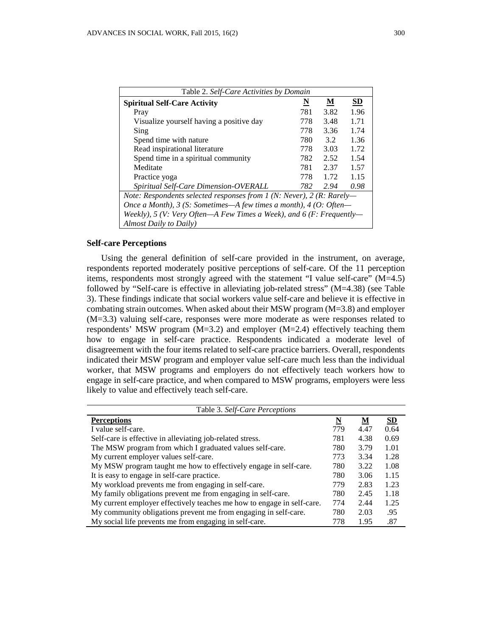| Table 2. Self-Care Activities by Domain                               |                          |                          |                           |
|-----------------------------------------------------------------------|--------------------------|--------------------------|---------------------------|
| <b>Spiritual Self-Care Activity</b>                                   | $\underline{\mathbf{N}}$ | $\underline{\mathbf{M}}$ | $\underline{\mathbf{SD}}$ |
| Pray                                                                  | 781                      | 3.82                     | 1.96                      |
| Visualize yourself having a positive day                              | 778                      | 3.48                     | 1.71                      |
| Sing                                                                  | 778                      | 3.36                     | 1.74                      |
| Spend time with nature                                                | 780                      | 3.2                      | 1.36                      |
| Read inspirational literature                                         | 778                      | 3.03                     | 1.72                      |
| Spend time in a spiritual community                                   | 782                      | 2.52                     | 1.54                      |
| Meditate                                                              | 781                      | 2.37                     | 1.57                      |
| Practice yoga                                                         | 778                      | 1.72                     | 1.15                      |
| Spiritual Self-Care Dimension-OVERALL                                 | 782                      | 2.94                     | 0.98                      |
| Note: Respondents selected responses from 1 (N: Never), 2 (R: Rarely- |                          |                          |                           |
| Once a Month), $3$ (S: Sometimes—A few times a month), $4$ (O: Often— |                          |                          |                           |
| Weekly), 5 (V: Very Often—A Few Times a Week), and 6 (F: Frequently—  |                          |                          |                           |
| Almost Daily to Daily)                                                |                          |                          |                           |

### **Self-care Perceptions**

Using the general definition of self-care provided in the instrument, on average, respondents reported moderately positive perceptions of self-care. Of the 11 perception items, respondents most strongly agreed with the statement "I value self-care" (M=4.5) followed by "Self-care is effective in alleviating job-related stress" (M=4.38) (see Table 3). These findings indicate that social workers value self-care and believe it is effective in combating strain outcomes. When asked about their MSW program (M=3.8) and employer (M=3.3) valuing self-care, responses were more moderate as were responses related to respondents' MSW program  $(M=3.2)$  and employer  $(M=2.4)$  effectively teaching them how to engage in self-care practice. Respondents indicated a moderate level of disagreement with the four items related to self-care practice barriers. Overall, respondents indicated their MSW program and employer value self-care much less than the individual worker, that MSW programs and employers do not effectively teach workers how to engage in self-care practice, and when compared to MSW programs, employers were less likely to value and effectively teach self-care.

| Table 3. Self-Care Perceptions                                         |     |      |      |
|------------------------------------------------------------------------|-----|------|------|
| <b>Perceptions</b>                                                     | N   | М    | SD   |
| I value self-care.                                                     | 779 | 4.47 | 0.64 |
| Self-care is effective in alleviating job-related stress.              | 781 | 4.38 | 0.69 |
| The MSW program from which I graduated values self-care.               | 780 | 3.79 | 1.01 |
| My current employer values self-care.                                  | 773 | 3.34 | 1.28 |
| My MSW program taught me how to effectively engage in self-care.       | 780 | 3.22 | 1.08 |
| It is easy to engage in self-care practice.                            | 780 | 3.06 | 1.15 |
| My workload prevents me from engaging in self-care.                    | 779 | 2.83 | 1.23 |
| My family obligations prevent me from engaging in self-care.           | 780 | 2.45 | 1.18 |
| My current employer effectively teaches me how to engage in self-care. | 774 | 2.44 | 1.25 |
| My community obligations prevent me from engaging in self-care.        | 780 | 2.03 | .95  |
| My social life prevents me from engaging in self-care.                 | 778 | 1.95 | .87  |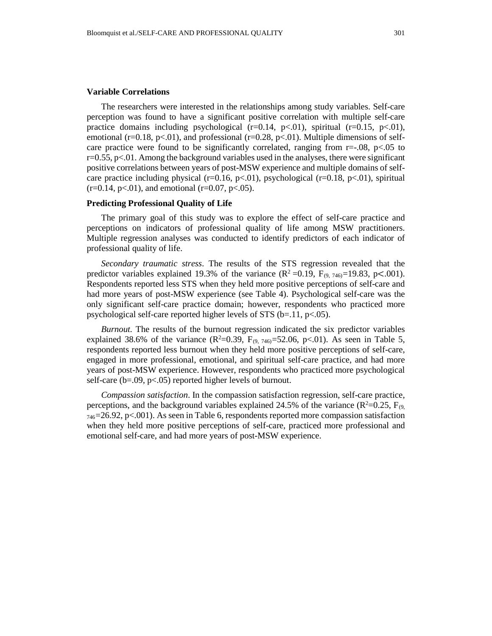#### **Variable Correlations**

The researchers were interested in the relationships among study variables. Self-care perception was found to have a significant positive correlation with multiple self-care practice domains including psychological ( $r=0.14$ ,  $p<.01$ ), spiritual ( $r=0.15$ ,  $p<.01$ ), emotional (r=0.18, p<.01), and professional (r=0.28, p<.01). Multiple dimensions of selfcare practice were found to be significantly correlated, ranging from  $r=-.08$ ,  $p<-.05$  to  $r=0.55$ ,  $p<.01$ . Among the background variables used in the analyses, there were significant positive correlations between years of post-MSW experience and multiple domains of selfcare practice including physical (r=0.16, p<.01), psychological (r=0.18, p<.01), spiritual  $(r=0.14, p<0.1)$ , and emotional  $(r=0.07, p<0.05)$ .

### **Predicting Professional Quality of Life**

The primary goal of this study was to explore the effect of self-care practice and perceptions on indicators of professional quality of life among MSW practitioners. Multiple regression analyses was conducted to identify predictors of each indicator of professional quality of life.

*Secondary traumatic stress*. The results of the STS regression revealed that the predictor variables explained 19.3% of the variance  $(R^2 = 0.19, F_{(9, 746)} = 19.83, p < .001)$ . Respondents reported less STS when they held more positive perceptions of self-care and had more years of post-MSW experience (see Table 4). Psychological self-care was the only significant self-care practice domain; however, respondents who practiced more psychological self-care reported higher levels of STS (b=.11, p<.05).

*Burnout.* The results of the burnout regression indicated the six predictor variables explained 38.6% of the variance  $(R^2=0.39, F_{(9, 746)}=52.06, p<.01)$ . As seen in Table 5, respondents reported less burnout when they held more positive perceptions of self-care, engaged in more professional, emotional, and spiritual self-care practice, and had more years of post-MSW experience. However, respondents who practiced more psychological self-care (b=.09, p<.05) reported higher levels of burnout.

*Compassion satisfaction*. In the compassion satisfaction regression, self-care practice, perceptions, and the background variables explained 24.5% of the variance ( $\mathbb{R}^2$ =0.25,  $\mathbb{F}_{(9)}$ ,  $_{746}$ =26.92, p<.001). As seen in Table 6, respondents reported more compassion satisfaction when they held more positive perceptions of self-care, practiced more professional and emotional self-care, and had more years of post-MSW experience.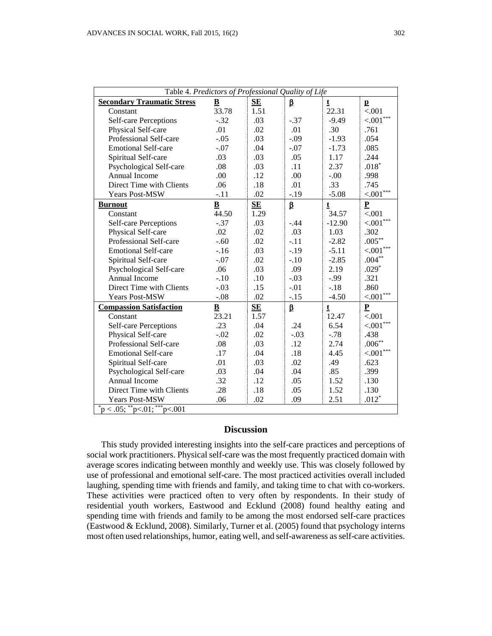| Table 4. Predictors of Professional Quality of Life |                          |      |         |              |                          |
|-----------------------------------------------------|--------------------------|------|---------|--------------|--------------------------|
| <b>Secondary Traumatic Stress</b>                   | $\underline{\mathbf{B}}$ | SE   | β       | t            | $\mathbf{p}$             |
| Constant                                            | 33.78                    | 1.51 |         | 22.31        | < .001                   |
| <b>Self-care Perceptions</b>                        | $-.32$                   | .03  | $-.37$  | $-9.49$      | ${<}001$ ***             |
| Physical Self-care                                  | .01                      | .02  | .01     | .30          | .761                     |
| Professional Self-care                              | $-.05$                   | .03  | $-.09$  | $-1.93$      | .054                     |
| <b>Emotional Self-care</b>                          | $-.07$                   | .04  | $-.07$  | $-1.73$      | .085                     |
| Spiritual Self-care                                 | .03                      | .03  | .05     | 1.17         | .244                     |
| Psychological Self-care                             | .08                      | .03  | .11     | 2.37         | $.018*$                  |
| Annual Income                                       | .00                      | .12  | .00     | $-.00$       | .998                     |
| Direct Time with Clients                            | .06                      | .18  | .01     | .33          | .745                     |
| Years Post-MSW                                      | $-.11$                   | .02  | $-.19$  | $-5.08$      | $< 001***$               |
| <b>Burnout</b>                                      | $\underline{\mathbf{B}}$ | SE   | $\beta$ | $\mathbf t$  | $\underline{\mathbf{P}}$ |
| Constant                                            | 44.50                    | 1.29 |         | 34.57        | < .001                   |
| Self-care Perceptions                               | $-.37$                   | .03  | $-.44$  | $-12.90$     | ${<} .001^{***}$         |
| Physical Self-care                                  | .02                      | .02  | .03     | 1.03         | .302                     |
| Professional Self-care                              | $-.60$                   | .02  | $-.11$  | $-2.82$      | $.005***$                |
| <b>Emotional Self-care</b>                          | $-16$                    | .03  | $-.19$  | $-5.11$      | $< 0.01***$              |
| Spiritual Self-care                                 | $-.07$                   | .02  | $-.10$  | $-2.85$      | $.004**$                 |
| Psychological Self-care                             | .06                      | .03  | .09     | 2.19         | $.029*$                  |
| Annual Income                                       | $-.10$                   | .10  | $-.03$  | $-0.99$      | .321                     |
| Direct Time with Clients                            | $-.03$                   | .15  | $-.01$  | $-.18$       | .860                     |
| Years Post-MSW                                      | $-.08$                   | .02  | $-.15$  | $-4.50$      | $\leq 001***$            |
| <b>Compassion Satisfaction</b>                      | B                        | SE   | $\beta$ | $\mathbf{t}$ | $\underline{\mathbf{P}}$ |
| Constant                                            | 23.21                    | 1.57 |         | 12.47        | < .001                   |
| <b>Self-care Perceptions</b>                        | .23                      | .04  | .24     | 6.54         | $< 001***$               |
| Physical Self-care                                  | $-.02$                   | .02  | $-.03$  | $-.78$       | .438                     |
| Professional Self-care                              | .08                      | .03  | .12     | 2.74         | $.006***$                |
| <b>Emotional Self-care</b>                          | .17                      | .04  | .18     | 4.45         | $< 001***$               |
| Spiritual Self-care                                 | .01                      | .03  | .02     | .49          | .623                     |
| Psychological Self-care                             | .03                      | .04  | .04     | .85          | .399                     |
| Annual Income                                       | .32                      | .12  | .05     | 1.52         | .130                     |
| Direct Time with Clients                            | .28                      | .18  | .05     | 1.52         | .130                     |
| <b>Years Post-MSW</b>                               | .06                      | .02  | .09     | 2.51         | $.012*$                  |
| $p^*$ p < .05; $p^*$ p<.01; $p^*$ <sub>7</sub> .001 |                          |      |         |              |                          |

# **Discussion**

This study provided interesting insights into the self-care practices and perceptions of social work practitioners. Physical self-care was the most frequently practiced domain with average scores indicating between monthly and weekly use. This was closely followed by use of professional and emotional self-care. The most practiced activities overall included laughing, spending time with friends and family, and taking time to chat with co-workers. These activities were practiced often to very often by respondents. In their study of residential youth workers, Eastwood and Ecklund (2008) found healthy eating and spending time with friends and family to be among the most endorsed self-care practices (Eastwood & Ecklund, 2008). Similarly, Turner et al. (2005) found that psychology interns most often used relationships, humor, eating well, and self-awareness as self-care activities.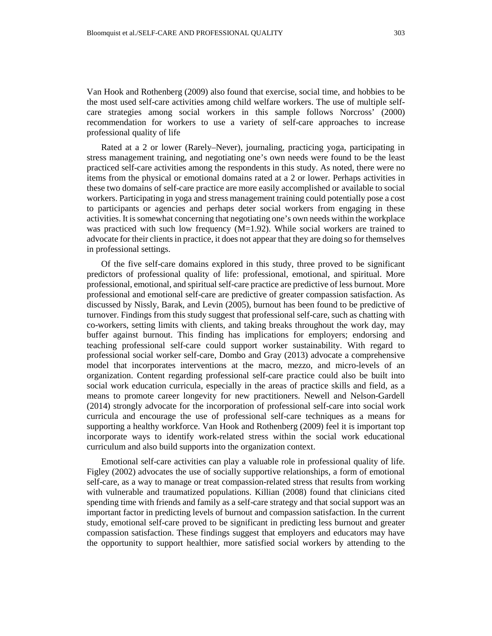Van Hook and Rothenberg (2009) also found that exercise, social time, and hobbies to be the most used self-care activities among child welfare workers. The use of multiple selfcare strategies among social workers in this sample follows Norcross' (2000) recommendation for workers to use a variety of self-care approaches to increase professional quality of life

Rated at a 2 or lower (Rarely–Never), journaling, practicing yoga, participating in stress management training, and negotiating one's own needs were found to be the least practiced self-care activities among the respondents in this study. As noted, there were no items from the physical or emotional domains rated at a 2 or lower. Perhaps activities in these two domains of self-care practice are more easily accomplished or available to social workers. Participating in yoga and stress management training could potentially pose a cost to participants or agencies and perhaps deter social workers from engaging in these activities. It is somewhat concerning that negotiating one's own needs within the workplace was practiced with such low frequency  $(M=1.92)$ . While social workers are trained to advocate for their clients in practice, it does not appear that they are doing so for themselves in professional settings.

Of the five self-care domains explored in this study, three proved to be significant predictors of professional quality of life: professional, emotional, and spiritual. More professional, emotional, and spiritual self-care practice are predictive of less burnout. More professional and emotional self-care are predictive of greater compassion satisfaction. As discussed by Nissly, Barak, and Levin (2005), burnout has been found to be predictive of turnover. Findings from this study suggest that professional self-care, such as chatting with co-workers, setting limits with clients, and taking breaks throughout the work day, may buffer against burnout. This finding has implications for employers; endorsing and teaching professional self-care could support worker sustainability. With regard to professional social worker self-care, Dombo and Gray (2013) advocate a comprehensive model that incorporates interventions at the macro, mezzo, and micro-levels of an organization. Content regarding professional self-care practice could also be built into social work education curricula, especially in the areas of practice skills and field, as a means to promote career longevity for new practitioners. Newell and Nelson-Gardell (2014) strongly advocate for the incorporation of professional self-care into social work curricula and encourage the use of professional self-care techniques as a means for supporting a healthy workforce. Van Hook and Rothenberg (2009) feel it is important top incorporate ways to identify work-related stress within the social work educational curriculum and also build supports into the organization context.

Emotional self-care activities can play a valuable role in professional quality of life. Figley (2002) advocates the use of socially supportive relationships, a form of emotional self-care, as a way to manage or treat compassion-related stress that results from working with vulnerable and traumatized populations. Killian (2008) found that clinicians cited spending time with friends and family as a self-care strategy and that social support was an important factor in predicting levels of burnout and compassion satisfaction. In the current study, emotional self-care proved to be significant in predicting less burnout and greater compassion satisfaction. These findings suggest that employers and educators may have the opportunity to support healthier, more satisfied social workers by attending to the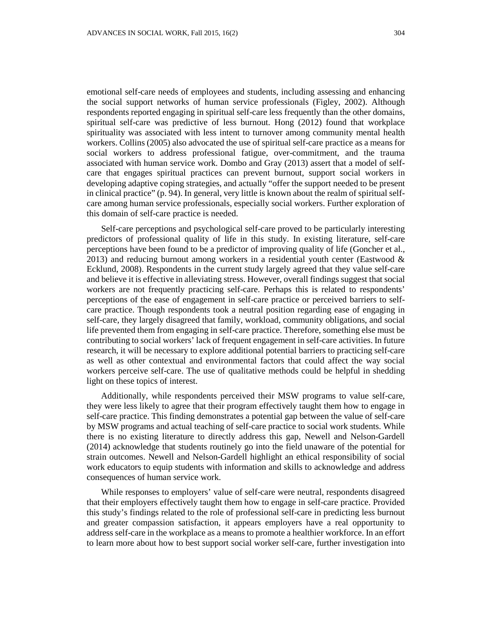emotional self-care needs of employees and students, including assessing and enhancing the social support networks of human service professionals (Figley, 2002). Although respondents reported engaging in spiritual self-care less frequently than the other domains, spiritual self-care was predictive of less burnout. Hong (2012) found that workplace spirituality was associated with less intent to turnover among community mental health workers. Collins (2005) also advocated the use of spiritual self-care practice as a means for social workers to address professional fatigue, over-commitment, and the trauma associated with human service work. Dombo and Gray (2013) assert that a model of selfcare that engages spiritual practices can prevent burnout, support social workers in developing adaptive coping strategies, and actually "offer the support needed to be present in clinical practice" (p. 94). In general, very little is known about the realm of spiritual selfcare among human service professionals, especially social workers. Further exploration of this domain of self-care practice is needed.

Self-care perceptions and psychological self-care proved to be particularly interesting predictors of professional quality of life in this study. In existing literature, self-care perceptions have been found to be a predictor of improving quality of life (Goncher et al., 2013) and reducing burnout among workers in a residential youth center (Eastwood  $\&$ Ecklund, 2008). Respondents in the current study largely agreed that they value self-care and believe it is effective in alleviating stress. However, overall findings suggest that social workers are not frequently practicing self-care. Perhaps this is related to respondents' perceptions of the ease of engagement in self-care practice or perceived barriers to selfcare practice. Though respondents took a neutral position regarding ease of engaging in self-care, they largely disagreed that family, workload, community obligations, and social life prevented them from engaging in self-care practice. Therefore, something else must be contributing to social workers' lack of frequent engagement in self-care activities. In future research, it will be necessary to explore additional potential barriers to practicing self-care as well as other contextual and environmental factors that could affect the way social workers perceive self-care. The use of qualitative methods could be helpful in shedding light on these topics of interest.

Additionally, while respondents perceived their MSW programs to value self-care, they were less likely to agree that their program effectively taught them how to engage in self-care practice. This finding demonstrates a potential gap between the value of self-care by MSW programs and actual teaching of self-care practice to social work students. While there is no existing literature to directly address this gap, Newell and Nelson-Gardell (2014) acknowledge that students routinely go into the field unaware of the potential for strain outcomes. Newell and Nelson-Gardell highlight an ethical responsibility of social work educators to equip students with information and skills to acknowledge and address consequences of human service work.

While responses to employers' value of self-care were neutral, respondents disagreed that their employers effectively taught them how to engage in self-care practice. Provided this study's findings related to the role of professional self-care in predicting less burnout and greater compassion satisfaction, it appears employers have a real opportunity to address self-care in the workplace as a means to promote a healthier workforce. In an effort to learn more about how to best support social worker self-care, further investigation into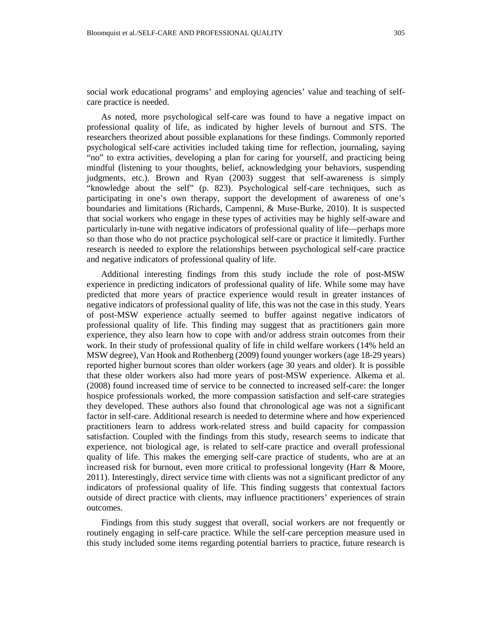social work educational programs' and employing agencies' value and teaching of selfcare practice is needed.

As noted, more psychological self-care was found to have a negative impact on professional quality of life, as indicated by higher levels of burnout and STS. The researchers theorized about possible explanations for these findings. Commonly reported psychological self-care activities included taking time for reflection, journaling, saying "no" to extra activities, developing a plan for caring for yourself, and practicing being mindful (listening to your thoughts, belief, acknowledging your behaviors, suspending judgments, etc.). Brown and Ryan (2003) suggest that self-awareness is simply "knowledge about the self" (p. 823). Psychological self-care techniques, such as participating in one's own therapy, support the development of awareness of one's boundaries and limitations (Richards, Campenni, & Muse-Burke, 2010). It is suspected that social workers who engage in these types of activities may be highly self-aware and particularly in-tune with negative indicators of professional quality of life—perhaps more so than those who do not practice psychological self-care or practice it limitedly. Further research is needed to explore the relationships between psychological self-care practice and negative indicators of professional quality of life.

Additional interesting findings from this study include the role of post-MSW experience in predicting indicators of professional quality of life. While some may have predicted that more years of practice experience would result in greater instances of negative indicators of professional quality of life, this was not the case in this study. Years of post-MSW experience actually seemed to buffer against negative indicators of professional quality of life. This finding may suggest that as practitioners gain more experience, they also learn how to cope with and/or address strain outcomes from their work. In their study of professional quality of life in child welfare workers (14% held an MSW degree), Van Hook and Rothenberg (2009) found younger workers (age 18-29 years) reported higher burnout scores than older workers (age 30 years and older). It is possible that these older workers also had more years of post-MSW experience. Alkema et al. (2008) found increased time of service to be connected to increased self-care: the longer hospice professionals worked, the more compassion satisfaction and self-care strategies they developed. These authors also found that chronological age was not a significant factor in self-care. Additional research is needed to determine where and how experienced practitioners learn to address work-related stress and build capacity for compassion satisfaction. Coupled with the findings from this study, research seems to indicate that experience, not biological age, is related to self-care practice and overall professional quality of life. This makes the emerging self-care practice of students, who are at an increased risk for burnout, even more critical to professional longevity (Harr & Moore, 2011). Interestingly, direct service time with clients was not a significant predictor of any indicators of professional quality of life. This finding suggests that contextual factors outside of direct practice with clients, may influence practitioners' experiences of strain outcomes.

Findings from this study suggest that overall, social workers are not frequently or routinely engaging in self-care practice. While the self-care perception measure used in this study included some items regarding potential barriers to practice, future research is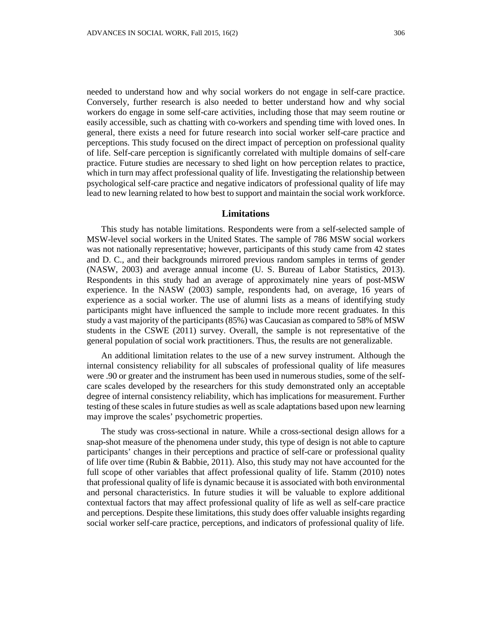needed to understand how and why social workers do not engage in self-care practice. Conversely, further research is also needed to better understand how and why social workers do engage in some self-care activities, including those that may seem routine or easily accessible, such as chatting with co-workers and spending time with loved ones. In general, there exists a need for future research into social worker self-care practice and perceptions. This study focused on the direct impact of perception on professional quality of life. Self-care perception is significantly correlated with multiple domains of self-care practice. Future studies are necessary to shed light on how perception relates to practice, which in turn may affect professional quality of life. Investigating the relationship between psychological self-care practice and negative indicators of professional quality of life may lead to new learning related to how best to support and maintain the social work workforce.

# **Limitations**

This study has notable limitations. Respondents were from a self-selected sample of MSW-level social workers in the United States. The sample of 786 MSW social workers was not nationally representative; however, participants of this study came from 42 states and D. C., and their backgrounds mirrored previous random samples in terms of gender (NASW, 2003) and average annual income (U. S. Bureau of Labor Statistics, 2013). Respondents in this study had an average of approximately nine years of post-MSW experience. In the NASW (2003) sample, respondents had, on average, 16 years of experience as a social worker. The use of alumni lists as a means of identifying study participants might have influenced the sample to include more recent graduates. In this study a vast majority of the participants (85%) was Caucasian as compared to 58% of MSW students in the CSWE (2011) survey. Overall, the sample is not representative of the general population of social work practitioners. Thus, the results are not generalizable.

An additional limitation relates to the use of a new survey instrument. Although the internal consistency reliability for all subscales of professional quality of life measures were .90 or greater and the instrument has been used in numerous studies, some of the selfcare scales developed by the researchers for this study demonstrated only an acceptable degree of internal consistency reliability, which has implications for measurement. Further testing of these scales in future studies as well as scale adaptations based upon new learning may improve the scales' psychometric properties.

The study was cross-sectional in nature. While a cross-sectional design allows for a snap-shot measure of the phenomena under study, this type of design is not able to capture participants' changes in their perceptions and practice of self-care or professional quality of life over time (Rubin & Babbie, 2011). Also, this study may not have accounted for the full scope of other variables that affect professional quality of life. Stamm (2010) notes that professional quality of life is dynamic because it is associated with both environmental and personal characteristics. In future studies it will be valuable to explore additional contextual factors that may affect professional quality of life as well as self-care practice and perceptions. Despite these limitations, this study does offer valuable insights regarding social worker self-care practice, perceptions, and indicators of professional quality of life.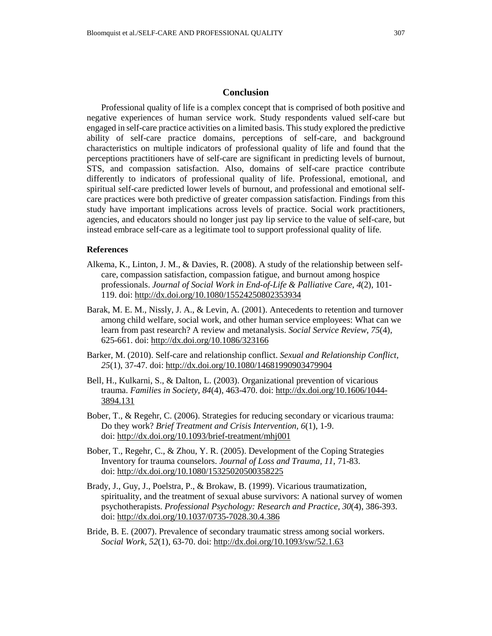# **Conclusion**

Professional quality of life is a complex concept that is comprised of both positive and negative experiences of human service work. Study respondents valued self-care but engaged in self-care practice activities on a limited basis. This study explored the predictive ability of self-care practice domains, perceptions of self-care, and background characteristics on multiple indicators of professional quality of life and found that the perceptions practitioners have of self-care are significant in predicting levels of burnout, STS, and compassion satisfaction. Also, domains of self-care practice contribute differently to indicators of professional quality of life. Professional, emotional, and spiritual self-care predicted lower levels of burnout, and professional and emotional selfcare practices were both predictive of greater compassion satisfaction. Findings from this study have important implications across levels of practice. Social work practitioners, agencies, and educators should no longer just pay lip service to the value of self-care, but instead embrace self-care as a legitimate tool to support professional quality of life.

# **References**

- Alkema, K., Linton, J. M., & Davies, R. (2008). A study of the relationship between selfcare, compassion satisfaction, compassion fatigue, and burnout among hospice professionals. *Journal of Social Work in End-of-Life & Palliative Care, 4*(2), 101- 119. doi:<http://dx.doi.org/10.1080/15524250802353934>
- Barak, M. E. M., Nissly, J. A., & Levin, A. (2001). Antecedents to retention and turnover among child welfare, social work, and other human service employees: What can we learn from past research? A review and metanalysis. *Social Service Review, 75*(4), 625-661. doi:<http://dx.doi.org/10.1086/323166>
- Barker, M. (2010). Self-care and relationship conflict. *Sexual and Relationship Conflict, 25*(1), 37-47. doi:<http://dx.doi.org/10.1080/14681990903479904>
- Bell, H., Kulkarni, S., & Dalton, L. (2003). Organizational prevention of vicarious trauma. *Families in Society, 84*(4), 463-470. doi: [http://dx.doi.org/10.1606/1044-](http://dx.doi.org/10.1606/1044-3894.131) [3894.131](http://dx.doi.org/10.1606/1044-3894.131)
- Bober, T., & Regehr, C. (2006). Strategies for reducing secondary or vicarious trauma: Do they work? *Brief Treatment and Crisis Intervention, 6*(1), 1-9. doi:<http://dx.doi.org/10.1093/brief-treatment/mhj001>
- Bober, T., Regehr, C., & Zhou, Y. R. (2005). Development of the Coping Strategies Inventory for trauma counselors. *Journal of Loss and Trauma, 11*, 71-83. doi:<http://dx.doi.org/10.1080/15325020500358225>
- Brady, J., Guy, J., Poelstra, P., & Brokaw, B. (1999). Vicarious traumatization, spirituality, and the treatment of sexual abuse survivors: A national survey of women psychotherapists. *Professional Psychology: Research and Practice, 30*(4), 386-393. doi:<http://dx.doi.org/10.1037/0735-7028.30.4.386>
- Bride, B. E. (2007). Prevalence of secondary traumatic stress among social workers. *Social Work, 52*(1), 63-70. doi:<http://dx.doi.org/10.1093/sw/52.1.63>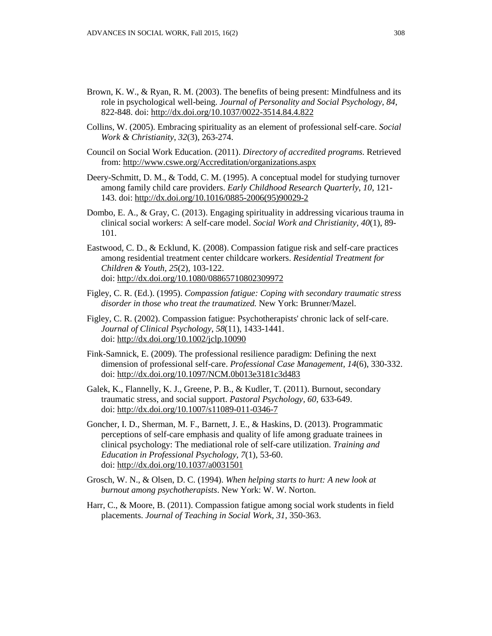- Brown, K. W., & Ryan, R. M. (2003). The benefits of being present: Mindfulness and its role in psychological well-being. *Journal of Personality and Social Psychology, 84*, 822-848. doi:<http://dx.doi.org/10.1037/0022-3514.84.4.822>
- Collins, W. (2005). Embracing spirituality as an element of professional self-care. *Social Work & Christianity*, *32*(3), 263-274.
- Council on Social Work Education. (2011). *Directory of accredited programs.* Retrieved from:<http://www.cswe.org/Accreditation/organizations.aspx>
- Deery-Schmitt, D. M., & Todd, C. M. (1995). A conceptual model for studying turnover among family child care providers. *Early Childhood Research Quarterly*, *10*, 121- 143. doi: [http://dx.doi.org/10.1016/0885-2006\(95\)90029-2](http://dx.doi.org/10.1016/0885-2006(95)90029-2)
- Dombo, E. A., & Gray, C. (2013). Engaging spirituality in addressing vicarious trauma in clinical social workers: A self-care model. *Social Work and Christianity, 40*(1), 89- 101.
- Eastwood, C. D., & Ecklund, K. (2008). Compassion fatigue risk and self-care practices among residential treatment center childcare workers. *Residential Treatment for Children & Youth, 25*(2), 103-122. doi:<http://dx.doi.org/10.1080/08865710802309972>
- Figley, C. R. (Ed.). (1995). *Compassion fatigue: Coping with secondary traumatic stress disorder in those who treat the traumatized.* New York: Brunner/Mazel.
- Figley, C. R. (2002). Compassion fatigue: Psychotherapists' chronic lack of self-care. *Journal of Clinical Psychology*, *58*(11), 1433-1441. doi:<http://dx.doi.org/10.1002/jclp.10090>
- Fink-Samnick, E. (2009). The professional resilience paradigm: Defining the next dimension of professional self-care. *Professional Case Management, 14*(6), 330-332. doi:<http://dx.doi.org/10.1097/NCM.0b013e3181c3d483>
- Galek, K., Flannelly, K. J., Greene, P. B., & Kudler, T. (2011). Burnout, secondary traumatic stress, and social support. *Pastoral Psychology, 60*, 633-649. doi:<http://dx.doi.org/10.1007/s11089-011-0346-7>
- Goncher, I. D., Sherman, M. F., Barnett, J. E., & Haskins, D. (2013). Programmatic perceptions of self-care emphasis and quality of life among graduate trainees in clinical psychology: The mediational role of self-care utilization. *Training and Education in Professional Psychology, 7*(1), 53-60. doi:<http://dx.doi.org/10.1037/a0031501>
- Grosch, W. N., & Olsen, D. C. (1994). *When helping starts to hurt: A new look at burnout among psychotherapists*. New York: W. W. Norton.
- Harr, C., & Moore, B. (2011). Compassion fatigue among social work students in field placements. *Journal of Teaching in Social Work*, *31*, 350-363.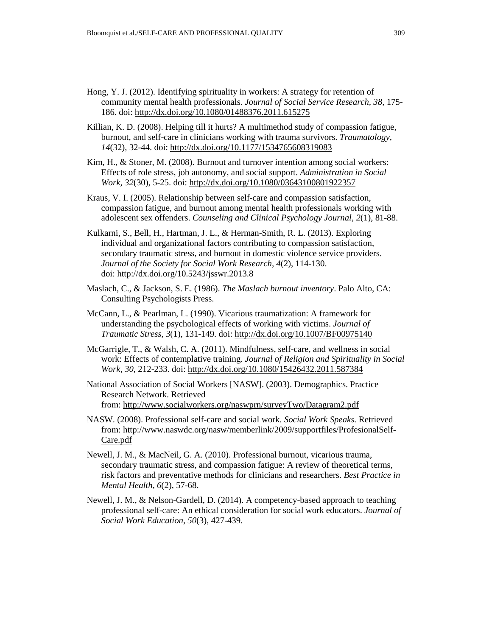- Hong, Y. J. (2012). Identifying spirituality in workers: A strategy for retention of community mental health professionals. *Journal of Social Service Research, 38*, 175- 186. doi:<http://dx.doi.org/10.1080/01488376.2011.615275>
- Killian, K. D. (2008). Helping till it hurts? A multimethod study of compassion fatigue, burnout, and self-care in clinicians working with trauma survivors. *Traumatology, 14*(32), 32-44. doi:<http://dx.doi.org/10.1177/1534765608319083>
- Kim, H., & Stoner, M. (2008). Burnout and turnover intention among social workers: Effects of role stress, job autonomy, and social support. *Administration in Social Work, 32*(30), 5-25. doi:<http://dx.doi.org/10.1080/03643100801922357>
- Kraus, V. I. (2005). Relationship between self-care and compassion satisfaction, compassion fatigue, and burnout among mental health professionals working with adolescent sex offenders. *Counseling and Clinical Psychology Journal, 2*(1), 81-88.
- Kulkarni, S., Bell, H., Hartman, J. L., & Herman-Smith, R. L. (2013). Exploring individual and organizational factors contributing to compassion satisfaction, secondary traumatic stress, and burnout in domestic violence service providers. *Journal of the Society for Social Work Research, 4*(2), 114-130. doi:<http://dx.doi.org/10.5243/jsswr.2013.8>
- Maslach, C., & Jackson, S. E. (1986). *The Maslach burnout inventory*. Palo Alto, CA: Consulting Psychologists Press.
- McCann, L., & Pearlman, L. (1990). Vicarious traumatization: A framework for understanding the psychological effects of working with victims. *Journal of Traumatic Stress, 3*(1), 131-149. doi:<http://dx.doi.org/10.1007/BF00975140>
- McGarrigle, T., & Walsh, C. A. (2011). Mindfulness, self-care, and wellness in social work: Effects of contemplative training. *Journal of Religion and Spirituality in Social Work, 30,* 212-233. doi:<http://dx.doi.org/10.1080/15426432.2011.587384>
- National Association of Social Workers [NASW]. (2003). Demographics. Practice Research Network. Retrieved from:<http://www.socialworkers.org/naswprn/surveyTwo/Datagram2.pdf>
- NASW. (2008). Professional self-care and social work. *Social Work Speaks.* Retrieved from: [http://www.naswdc.org/nasw/memberlink/2009/supportfiles/ProfesionalSelf-](http://www.naswdc.org/nasw/memberlink/2009/supportfiles/ProfesionalSelf-Care.pdf)[Care.pdf](http://www.naswdc.org/nasw/memberlink/2009/supportfiles/ProfesionalSelf-Care.pdf)
- Newell, J. M., & MacNeil, G. A. (2010). Professional burnout, vicarious trauma, secondary traumatic stress, and compassion fatigue: A review of theoretical terms, risk factors and preventative methods for clinicians and researchers. *Best Practice in Mental Health, 6*(2), 57-68.
- Newell, J. M., & Nelson-Gardell, D. (2014). A competency-based approach to teaching professional self-care: An ethical consideration for social work educators. *Journal of Social Work Education*, *50*(3), 427-439.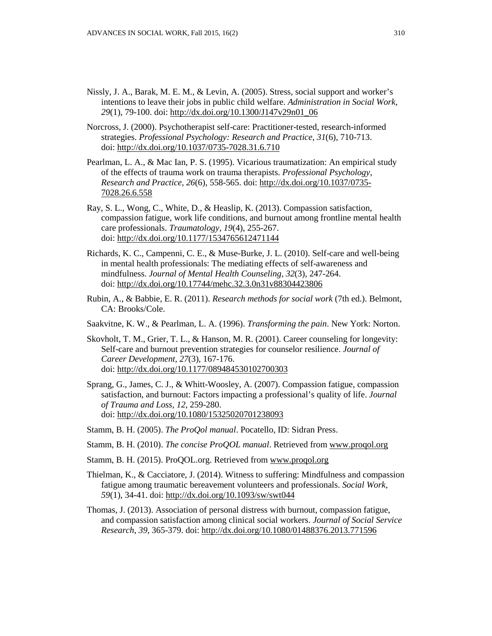- Nissly, J. A., Barak, M. E. M., & Levin, A. (2005). Stress, social support and worker's intentions to leave their jobs in public child welfare. *Administration in Social Work, 29*(1), 79-100. doi: [http://dx.doi.org/10.1300/J147v29n01\\_06](http://dx.doi.org/10.1300/J147v29n01_06)
- Norcross, J. (2000). Psychotherapist self-care: Practitioner-tested, research-informed strategies. *Professional Psychology: Research and Practice, 31*(6), 710-713. doi:<http://dx.doi.org/10.1037/0735-7028.31.6.710>
- Pearlman, L. A., & Mac Ian, P. S. (1995). Vicarious traumatization: An empirical study of the effects of trauma work on trauma therapists. *Professional Psychology, Research and Practice, 26*(6), 558-565. doi: [http://dx.doi.org/10.1037/0735-](http://dx.doi.org/10.1037/0735-7028.26.6.558) [7028.26.6.558](http://dx.doi.org/10.1037/0735-7028.26.6.558)
- Ray, S. L., Wong, C., White, D., & Heaslip, K. (2013). Compassion satisfaction, compassion fatigue, work life conditions, and burnout among frontline mental health care professionals. *Traumatology, 19*(4), 255-267. doi:<http://dx.doi.org/10.1177/1534765612471144>
- Richards, K. C., Campenni, C. E., & Muse-Burke, J. L. (2010). Self-care and well-being in mental health professionals: The mediating effects of self-awareness and mindfulness. *Journal of Mental Health Counseling, 32*(3), 247-264. doi:<http://dx.doi.org/10.17744/mehc.32.3.0n31v88304423806>
- Rubin, A., & Babbie, E. R. (2011). *Research methods for social work* (7th ed.). Belmont, CA: Brooks/Cole.
- Saakvitne, K. W., & Pearlman, L. A. (1996). *Transforming the pain*. New York: Norton.
- Skovholt, T. M., Grier, T. L., & Hanson, M. R. (2001). Career counseling for longevity: Self-care and burnout prevention strategies for counselor resilience. *Journal of Career Development, 27*(3), 167-176. doi:<http://dx.doi.org/10.1177/089484530102700303>
- Sprang, G., James, C. J., & Whitt-Woosley, A. (2007). Compassion fatigue, compassion satisfaction, and burnout: Factors impacting a professional's quality of life. *Journal of Trauma and Loss, 12*, 259-280. doi:<http://dx.doi.org/10.1080/15325020701238093>
- Stamm, B. H. (2005). *The ProQol manual*. Pocatello, ID: Sidran Press.
- Stamm, B. H. (2010). *The concise ProQOL manual*. Retrieved from [www.proqol.org](http://www.proqol.org/)
- Stamm, B. H. (2015). ProQOL.org. Retrieved from [www.proqol.org](http://www.proqol.org/)
- Thielman, K., & Cacciatore, J. (2014). Witness to suffering: Mindfulness and compassion fatigue among traumatic bereavement volunteers and professionals. *Social Work, 59*(1), 34-41. doi:<http://dx.doi.org/10.1093/sw/swt044>
- Thomas, J. (2013). Association of personal distress with burnout, compassion fatigue, and compassion satisfaction among clinical social workers. *Journal of Social Service Research*, *39*, 365-379. doi:<http://dx.doi.org/10.1080/01488376.2013.771596>